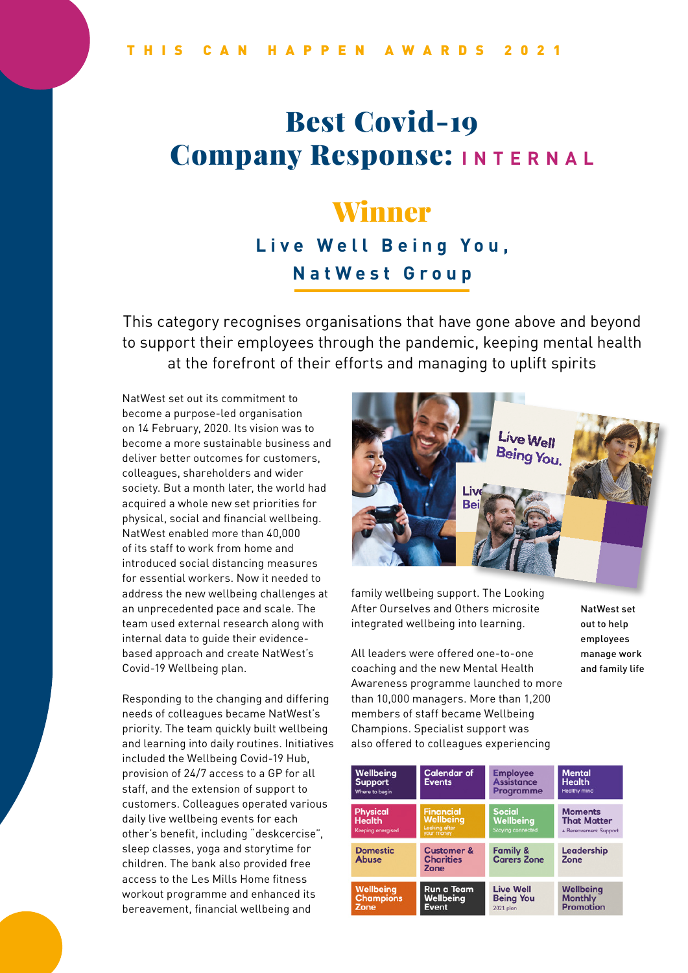# Best Covid-19 **Company Response:** INTERNAL

## Winner

### **Live Well Being You, NatWest Group**

This category recognises organisations that have gone above and beyond to support their employees through the pandemic, keeping mental health at the forefront of their efforts and managing to uplift spirits

NatWest set out its commitment to become a purpose-led organisation on 14 February, 2020. Its vision was to become a more sustainable business and deliver better outcomes for customers, colleagues, shareholders and wider society. But a month later, the world had acquired a whole new set priorities for physical, social and financial wellbeing. NatWest enabled more than 40,000 of its staff to work from home and introduced social distancing measures for essential workers. Now it needed to address the new wellbeing challenges at an unprecedented pace and scale. The team used external research along with internal data to guide their evidencebased approach and create NatWest's Covid-19 Wellbeing plan.

Responding to the changing and differing needs of colleagues became NatWest's priority. The team quickly built wellbeing and learning into daily routines. Initiatives included the Wellbeing Covid-19 Hub, provision of 24/7 access to a GP for all staff, and the extension of support to customers. Colleagues operated various daily live wellbeing events for each other's benefit, including "deskcercise", sleep classes, yoga and storytime for children. The bank also provided free access to the Les Mills Home fitness workout programme and enhanced its bereavement, financial wellbeing and



family wellbeing support. The Looking After Ourselves and Others microsite integrated wellbeing into learning.

All leaders were offered one-to-one coaching and the new Mental Health Awareness programme launched to more than 10,000 managers. More than 1,200 members of staff became Wellbeing Champions. Specialist support was also offered to colleagues experiencing

NatWest set out to help employees manage work and family life

| Wellbeing<br><b>Support</b><br>Where to begin                | <b>Calendar of</b><br><b>Events</b>                          | <b>Employee</b><br><b>Assistance</b><br><b>Programme</b> | <b>Mental</b><br><b>Health</b><br><b>Healthy mind</b>         |
|--------------------------------------------------------------|--------------------------------------------------------------|----------------------------------------------------------|---------------------------------------------------------------|
| <b>Physical</b><br><b>Health</b><br><b>Keeping energised</b> | <b>Financial</b><br>Wellbeing<br>Looking after<br>your money | <b>Social</b><br>Wellbeing<br><b>Staying connected</b>   | <b>Moments</b><br><b>That Matter</b><br>+ Bereavement Support |
| <b>Domestic</b><br><b>Abuse</b>                              | <b>Customer &amp;</b><br><b>Charities</b><br>Zone            | <b>Family &amp;</b><br><b>Carers Zone</b>                | Leadership<br>Zone                                            |
| <b>Wellbeing</b><br><b>Champions</b><br>Zone                 | Run a Team<br>Wellbeing<br>Event                             | <b>Live Well</b><br><b>Being You</b><br>2021 plan        | Wellbeing<br><b>Monthly</b><br>Promotion                      |